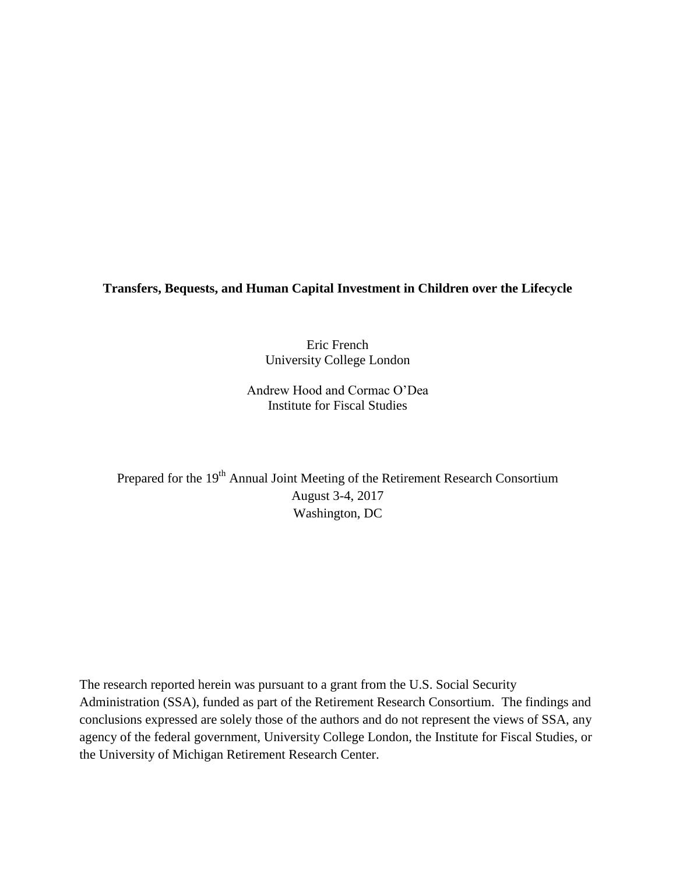**Transfers, Bequests, and Human Capital Investment in Children over the Lifecycle**

Eric French University College London

Andrew Hood and Cormac O'Dea Institute for Fiscal Studies

Prepared for the 19<sup>th</sup> Annual Joint Meeting of the Retirement Research Consortium August 3-4, 2017 Washington, DC

The research reported herein was pursuant to a grant from the U.S. Social Security Administration (SSA), funded as part of the Retirement Research Consortium. The findings and conclusions expressed are solely those of the authors and do not represent the views of SSA, any agency of the federal government, University College London, the Institute for Fiscal Studies, or the University of Michigan Retirement Research Center.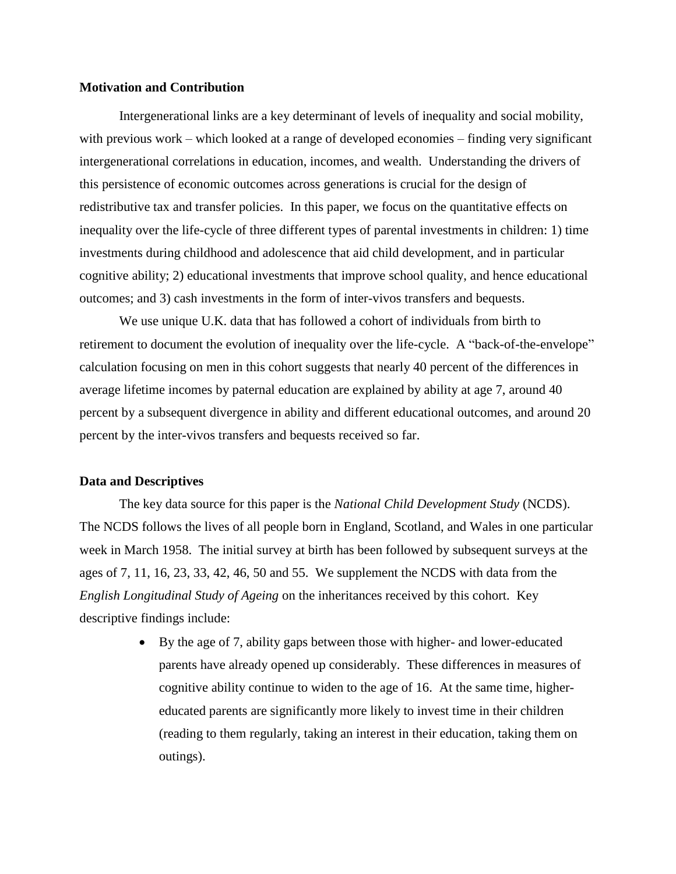# **Motivation and Contribution**

Intergenerational links are a key determinant of levels of inequality and social mobility, with previous work – which looked at a range of developed economies – finding very significant intergenerational correlations in education, incomes, and wealth. Understanding the drivers of this persistence of economic outcomes across generations is crucial for the design of redistributive tax and transfer policies. In this paper, we focus on the quantitative effects on inequality over the life-cycle of three different types of parental investments in children: 1) time investments during childhood and adolescence that aid child development, and in particular cognitive ability; 2) educational investments that improve school quality, and hence educational outcomes; and 3) cash investments in the form of inter-vivos transfers and bequests.

We use unique U.K. data that has followed a cohort of individuals from birth to retirement to document the evolution of inequality over the life-cycle. A "back-of-the-envelope" calculation focusing on men in this cohort suggests that nearly 40 percent of the differences in average lifetime incomes by paternal education are explained by ability at age 7, around 40 percent by a subsequent divergence in ability and different educational outcomes, and around 20 percent by the inter-vivos transfers and bequests received so far.

#### **Data and Descriptives**

The key data source for this paper is the *National Child Development Study* (NCDS). The NCDS follows the lives of all people born in England, Scotland, and Wales in one particular week in March 1958. The initial survey at birth has been followed by subsequent surveys at the ages of 7, 11, 16, 23, 33, 42, 46, 50 and 55. We supplement the NCDS with data from the *English Longitudinal Study of Ageing* on the inheritances received by this cohort. Key descriptive findings include:

> By the age of 7, ability gaps between those with higher- and lower-educated parents have already opened up considerably. These differences in measures of cognitive ability continue to widen to the age of 16. At the same time, highereducated parents are significantly more likely to invest time in their children (reading to them regularly, taking an interest in their education, taking them on outings).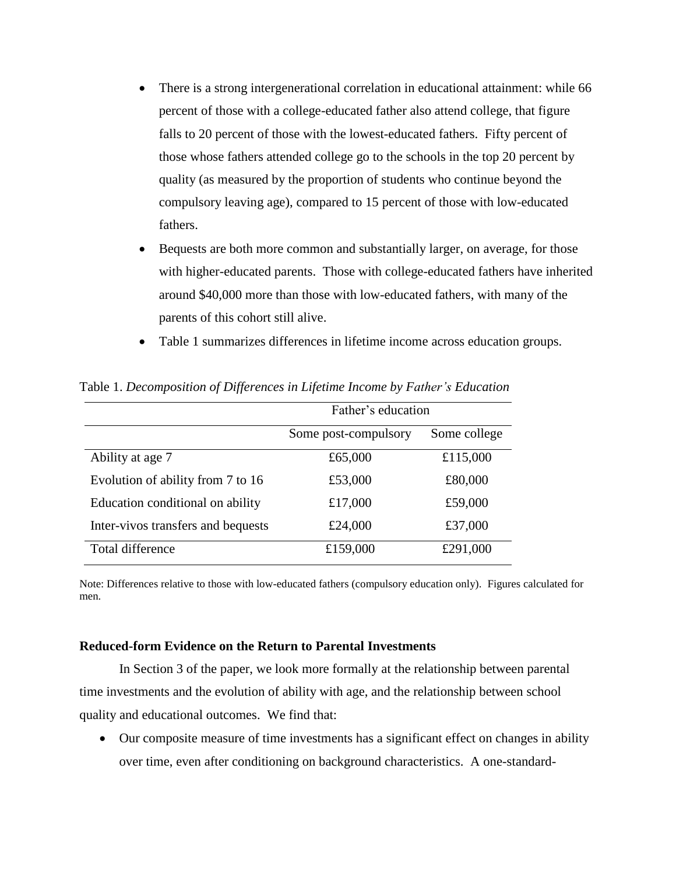- There is a strong intergenerational correlation in educational attainment: while 66 percent of those with a college-educated father also attend college, that figure falls to 20 percent of those with the lowest-educated fathers. Fifty percent of those whose fathers attended college go to the schools in the top 20 percent by quality (as measured by the proportion of students who continue beyond the compulsory leaving age), compared to 15 percent of those with low-educated fathers.
- Bequests are both more common and substantially larger, on average, for those with higher-educated parents. Those with college-educated fathers have inherited around \$40,000 more than those with low-educated fathers, with many of the parents of this cohort still alive.
- Table 1 summarizes differences in lifetime income across education groups.

|                                    | Father's education   |              |
|------------------------------------|----------------------|--------------|
|                                    | Some post-compulsory | Some college |
| Ability at age 7                   | £65,000              | £115,000     |
| Evolution of ability from 7 to 16  | £53,000              | £80,000      |
| Education conditional on ability   | £17,000              | £59,000      |
| Inter-vivos transfers and bequests | £24,000              | £37,000      |
| Total difference                   | £159,000             | £291,000     |

Table 1. *Decomposition of Differences in Lifetime Income by Father's Education*

Note: Differences relative to those with low-educated fathers (compulsory education only). Figures calculated for men.

### **Reduced-form Evidence on the Return to Parental Investments**

In Section 3 of the paper, we look more formally at the relationship between parental time investments and the evolution of ability with age, and the relationship between school quality and educational outcomes. We find that:

 Our composite measure of time investments has a significant effect on changes in ability over time, even after conditioning on background characteristics. A one-standard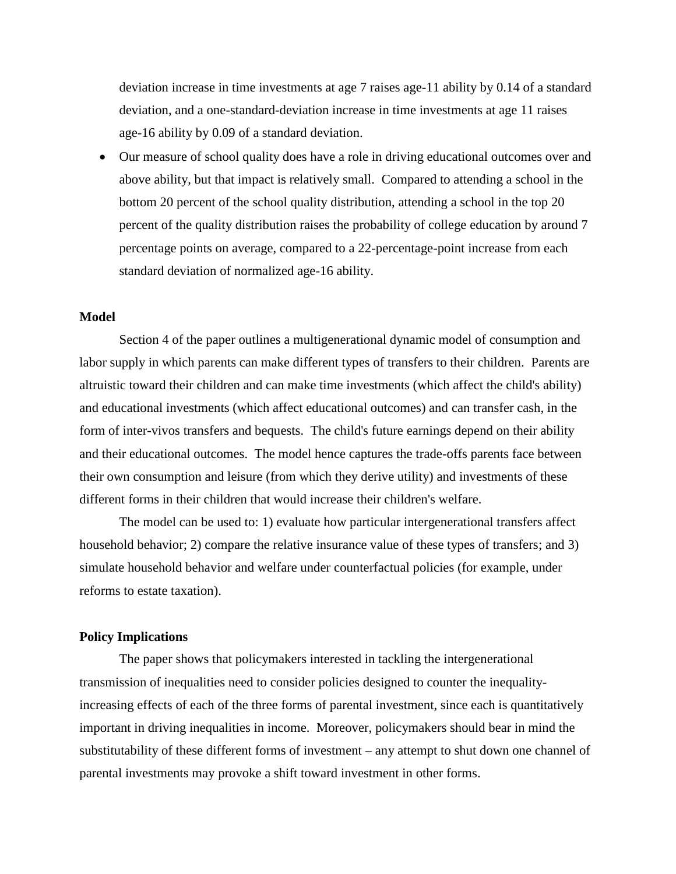deviation increase in time investments at age 7 raises age-11 ability by 0.14 of a standard deviation, and a one-standard-deviation increase in time investments at age 11 raises age-16 ability by 0.09 of a standard deviation.

 Our measure of school quality does have a role in driving educational outcomes over and above ability, but that impact is relatively small. Compared to attending a school in the bottom 20 percent of the school quality distribution, attending a school in the top 20 percent of the quality distribution raises the probability of college education by around 7 percentage points on average, compared to a 22-percentage-point increase from each standard deviation of normalized age-16 ability.

# **Model**

Section 4 of the paper outlines a multigenerational dynamic model of consumption and labor supply in which parents can make different types of transfers to their children. Parents are altruistic toward their children and can make time investments (which affect the child's ability) and educational investments (which affect educational outcomes) and can transfer cash, in the form of inter-vivos transfers and bequests. The child's future earnings depend on their ability and their educational outcomes. The model hence captures the trade-offs parents face between their own consumption and leisure (from which they derive utility) and investments of these different forms in their children that would increase their children's welfare.

The model can be used to: 1) evaluate how particular intergenerational transfers affect household behavior; 2) compare the relative insurance value of these types of transfers; and 3) simulate household behavior and welfare under counterfactual policies (for example, under reforms to estate taxation).

### **Policy Implications**

The paper shows that policymakers interested in tackling the intergenerational transmission of inequalities need to consider policies designed to counter the inequalityincreasing effects of each of the three forms of parental investment, since each is quantitatively important in driving inequalities in income. Moreover, policymakers should bear in mind the substitutability of these different forms of investment – any attempt to shut down one channel of parental investments may provoke a shift toward investment in other forms.